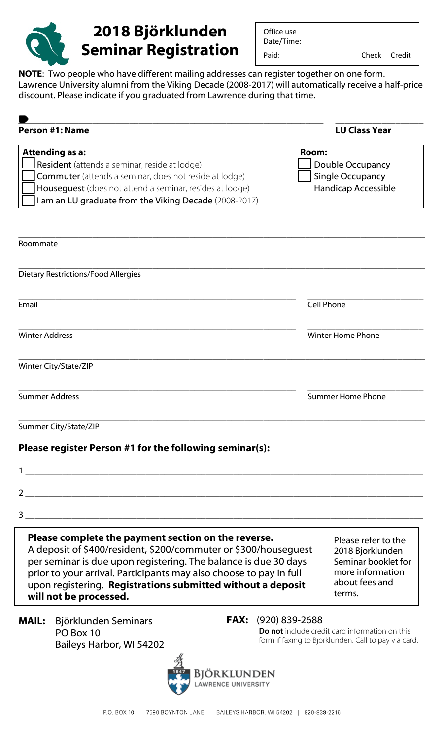

Office use Date/Time:

Paid: Check Credit

**NOTE**: Two people who have different mailing addresses can register together on one form. Lawrence University alumni from the Viking Decade (2008-2017) will automatically receive a half-price discount. Please indicate if you graduated from Lawrence during that time.

| Person #1: Name                                                                                                                                                                                                                                                                                                                                          | <b>LU Class Year</b>                                                                                                                    |
|----------------------------------------------------------------------------------------------------------------------------------------------------------------------------------------------------------------------------------------------------------------------------------------------------------------------------------------------------------|-----------------------------------------------------------------------------------------------------------------------------------------|
| Attending as a:<br>Resident (attends a seminar, reside at lodge)<br>Commuter (attends a seminar, does not reside at lodge)<br>Houseguest (does not attend a seminar, resides at lodge)<br>I am an LU graduate from the Viking Decade (2008-2017)                                                                                                         | Room:<br>Double Occupancy<br>Single Occupancy<br>Handicap Accessible                                                                    |
| Roommate                                                                                                                                                                                                                                                                                                                                                 |                                                                                                                                         |
| Dietary Restrictions/Food Allergies                                                                                                                                                                                                                                                                                                                      |                                                                                                                                         |
| Email                                                                                                                                                                                                                                                                                                                                                    | Cell Phone                                                                                                                              |
| <b>Winter Address</b>                                                                                                                                                                                                                                                                                                                                    | <b>Winter Home Phone</b>                                                                                                                |
| Winter City/State/ZIP                                                                                                                                                                                                                                                                                                                                    |                                                                                                                                         |
| <b>Summer Address</b>                                                                                                                                                                                                                                                                                                                                    | <b>Summer Home Phone</b>                                                                                                                |
| Summer City/State/ZIP                                                                                                                                                                                                                                                                                                                                    |                                                                                                                                         |
| Please register Person #1 for the following seminar(s):                                                                                                                                                                                                                                                                                                  |                                                                                                                                         |
| $\mathbf 1$                                                                                                                                                                                                                                                                                                                                              |                                                                                                                                         |
| $2 \left( \frac{1}{2} \right)$                                                                                                                                                                                                                                                                                                                           |                                                                                                                                         |
| $3$ $\overline{\phantom{a}}$                                                                                                                                                                                                                                                                                                                             |                                                                                                                                         |
| Please complete the payment section on the reverse.<br>A deposit of \$400/resident, \$200/commuter or \$300/housequest<br>per seminar is due upon registering. The balance is due 30 days<br>prior to your arrival. Participants may also choose to pay in full<br>upon registering. Registrations submitted without a deposit<br>will not be processed. | Please refer to the<br>2018 Bjorklunden<br>Seminar booklet for<br>more information<br>about fees and<br>terms.                          |
| Björklunden Seminars<br><b>MAIL:</b><br>PO Box 10<br>Baileys Harbor, WI 54202                                                                                                                                                                                                                                                                            | <b>FAX:</b><br>(920) 839-2688<br>Do not include credit card information on this<br>form if faxing to Björklunden. Call to pay via card. |
| Bjorklunden                                                                                                                                                                                                                                                                                                                                              |                                                                                                                                         |

W